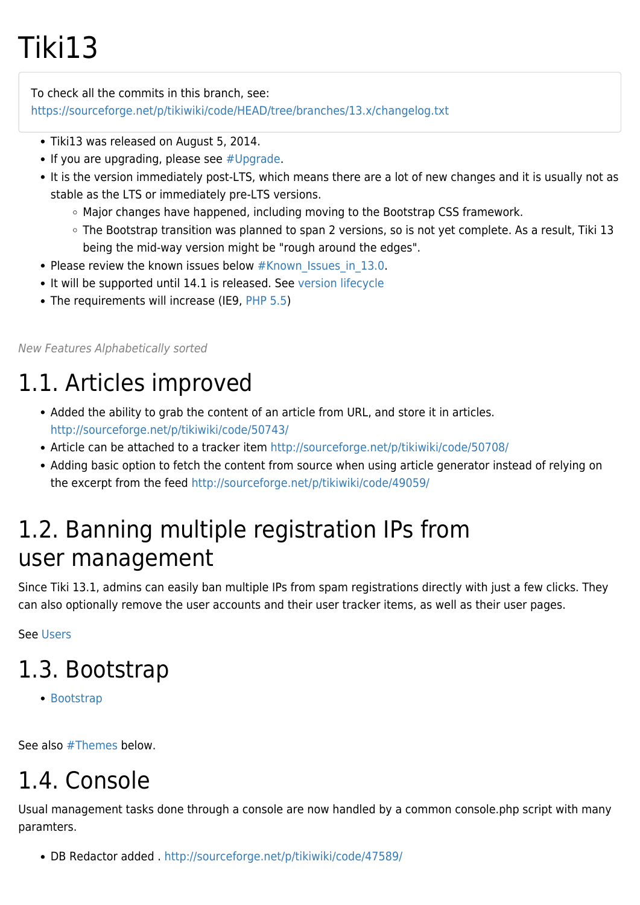# Tiki13

To check all the commits in this branch, see: <https://sourceforge.net/p/tikiwiki/code/HEAD/tree/branches/13.x/changelog.txt>

- Tiki13 was released on August 5, 2014.
- $\bullet$  If you are upgrading, please see  $\#$ Upgrade.
- It is the version immediately post-LTS, which means there are a lot of new changes and it is usually not as stable as the LTS or immediately pre-LTS versions.
	- Major changes have happened, including moving to the Bootstrap CSS framework.
	- o The Bootstrap transition was planned to span 2 versions, so is not yet complete. As a result, Tiki 13 being the mid-way version might be "rough around the edges".
- Please review the known issues below #Known Issues in 13.0.
- It will be supported until 14.1 is released. See [version lifecycle](http://info.tiki.org/version%20lifecycle)
- The requirements will increase (IE9, [PHP 5.5\)](http://schlueters.de/blog/archives/173-PHP-5.5-is-out,-whats-up-with-5.4-and-5.3.html)

New Features Alphabetically sorted

## 1.1. Articles improved

- Added the ability to grab the content of an article from URL, and store it in articles. <http://sourceforge.net/p/tikiwiki/code/50743/>
- Article can be attached to a tracker item <http://sourceforge.net/p/tikiwiki/code/50708/>
- Adding basic option to fetch the content from source when using article generator instead of relying on the excerpt from the feed<http://sourceforge.net/p/tikiwiki/code/49059/>

### 1.2. Banning multiple registration IPs from user management

Since Tiki 13.1, admins can easily ban multiple IPs from spam registrations directly with just a few clicks. They can also optionally remove the user accounts and their user tracker items, as well as their user pages.

See [Users](https://doc.tiki.org/Users)

### 1.3. Bootstrap

[Bootstrap](http://themes.tiki.org/Bootstrap)

See also [#Themes](#page--1-0) below.

## 1.4. Console

Usual management tasks done through a console are now handled by a common console.php script with many paramters.

DB Redactor added . <http://sourceforge.net/p/tikiwiki/code/47589/>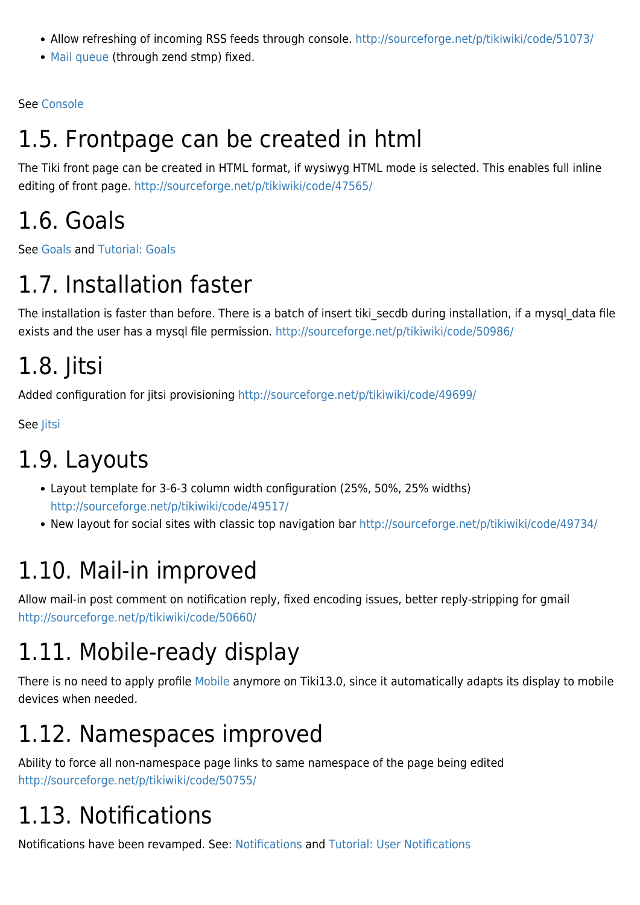- Allow refreshing of incoming RSS feeds through console. <http://sourceforge.net/p/tikiwiki/code/51073/>
- [Mail queue](https://doc.tiki.org/Mail-Queue) (through zend stmp) fixed.

#### See [Console](https://doc.tiki.org/Console)

## 1.5. Frontpage can be created in html

The Tiki front page can be created in HTML format, if wysiwyg HTML mode is selected. This enables full inline editing of front page.<http://sourceforge.net/p/tikiwiki/code/47565/>

## 1.6. Goals

See [Goals](https://doc.tiki.org/Goals) and [Tutorial: Goals](https://doc.tiki.org/Tutorial%3A%20Goals)

# 1.7. Installation faster

The installation is faster than before. There is a batch of insert tiki secdb during installation, if a mysql data file exists and the user has a mysql file permission.<http://sourceforge.net/p/tikiwiki/code/50986/>

# 1.8. Jitsi

Added configuration for jitsi provisioning <http://sourceforge.net/p/tikiwiki/code/49699/>

See [Jitsi](https://doc.tiki.org/Jitsi)

# 1.9. Layouts

- Layout template for 3-6-3 column width configuration (25%, 50%, 25% widths) <http://sourceforge.net/p/tikiwiki/code/49517/>
- New layout for social sites with classic top navigation bar<http://sourceforge.net/p/tikiwiki/code/49734/>

# 1.10. Mail-in improved

Allow mail-in post comment on notification reply, fixed encoding issues, better reply-stripping for gmail <http://sourceforge.net/p/tikiwiki/code/50660/>

# 1.11. Mobile-ready display

There is no need to apply profile [Mobile](http://profiles.tiki.org/Mobile) anymore on Tiki13.0, since it automatically adapts its display to mobile devices when needed.

# 1.12. Namespaces improved

Ability to force all non-namespace page links to same namespace of the page being edited <http://sourceforge.net/p/tikiwiki/code/50755/>

# 1.13. Notifications

Notifications have been revamped. See: [Notifications](https://doc.tiki.org/Notifications) and [Tutorial: User Notifications](https://doc.tiki.org/Tutorial%3A%20User%20Notifications)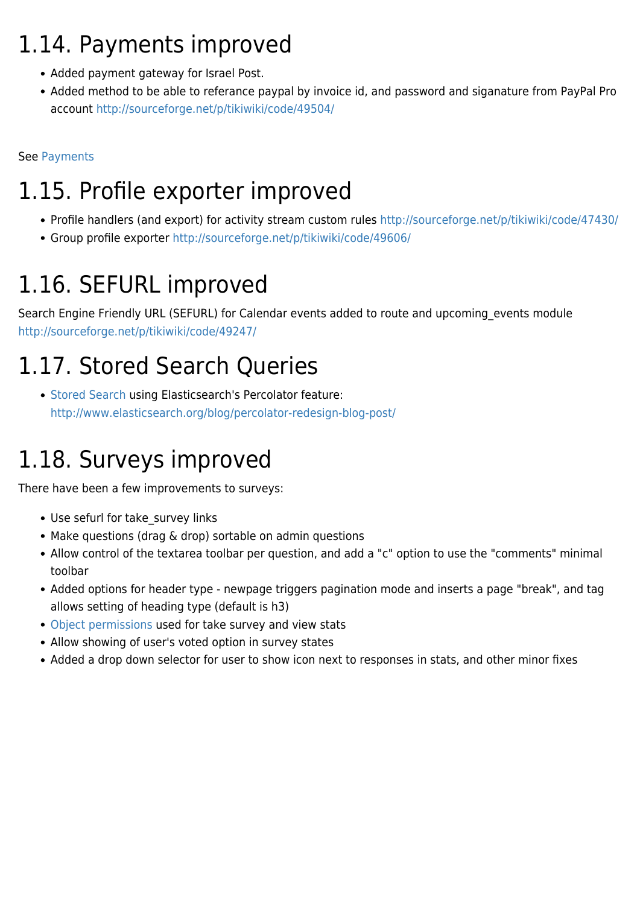# 1.14. Payments improved

- Added payment gateway for Israel Post.
- Added method to be able to referance paypal by invoice id, and password and siganature from PayPal Pro account <http://sourceforge.net/p/tikiwiki/code/49504/>

#### See [Payments](https://doc.tiki.org/Payments)

# 1.15. Profile exporter improved

- Profile handlers (and export) for activity stream custom rules <http://sourceforge.net/p/tikiwiki/code/47430/>
- Group profile exporter <http://sourceforge.net/p/tikiwiki/code/49606/>

# 1.16. SEFURL improved

Search Engine Friendly URL (SEFURL) for Calendar events added to route and upcoming\_events module <http://sourceforge.net/p/tikiwiki/code/49247/>

# 1.17. Stored Search Queries

[Stored Search](https://doc.tiki.org/Stored-Search) using Elasticsearch's Percolator feature: <http://www.elasticsearch.org/blog/percolator-redesign-blog-post/>

# 1.18. Surveys improved

There have been a few improvements to surveys:

- Use sefurl for take survey links
- Make questions (drag & drop) sortable on admin questions
- Allow control of the textarea toolbar per question, and add a "c" option to use the "comments" minimal toolbar
- Added options for header type newpage triggers pagination mode and inserts a page "break", and tag allows setting of heading type (default is h3)
- [Object permissions](https://doc.tiki.org/Permissions) used for take survey and view stats
- Allow showing of user's voted option in survey states
- Added a drop down selector for user to show icon next to responses in stats, and other minor fixes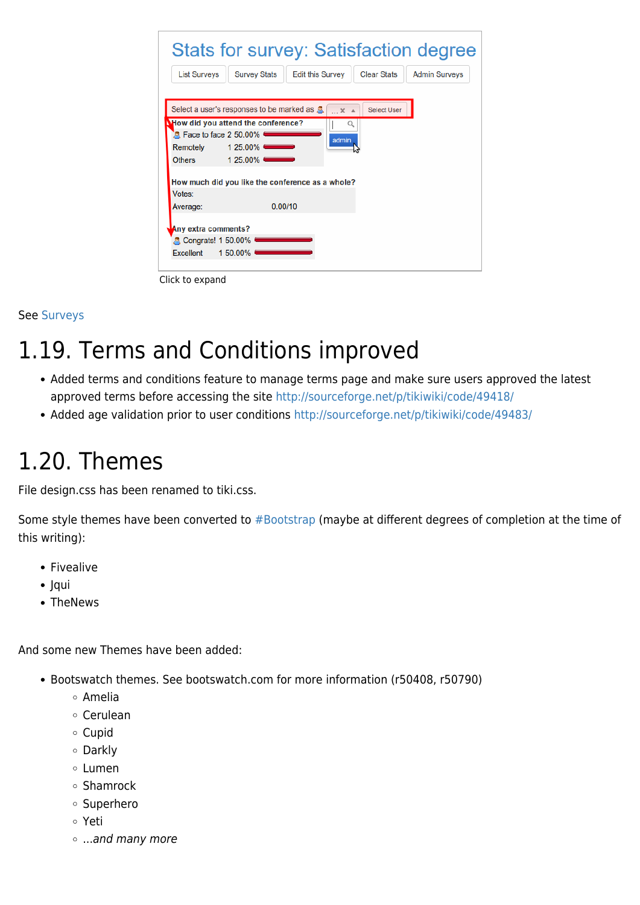|                     | Stats for survey: Satisfaction degree                                                        |
|---------------------|----------------------------------------------------------------------------------------------|
| <b>List Surveys</b> | <b>Edit this Survey</b><br><b>Clear Stats</b><br><b>Survey Stats</b><br><b>Admin Surveys</b> |
|                     | Select a user's responses to be marked as A<br><b>Select User</b><br>$ \times -$             |
|                     | How did you attend the conference?<br>Q<br>Face to face 2 50.00%                             |
| Remotely            | admin<br>1 25.00%                                                                            |
| Others              | 1 25,00%                                                                                     |
|                     | How much did you like the conference as a whole?                                             |
| Votes:              |                                                                                              |
| Average:            | 0.00/10                                                                                      |
| Any extra comments? |                                                                                              |
| Congrats! 1 50.00%  |                                                                                              |
| Excellent 1 50,00%  |                                                                                              |
| Click to expand     |                                                                                              |

#### See [Surveys](https://doc.tiki.org/Surveys)

## 1.19. Terms and Conditions improved

- Added terms and conditions feature to manage terms page and make sure users approved the latest approved terms before accessing the site <http://sourceforge.net/p/tikiwiki/code/49418/>
- Added age validation prior to user conditions <http://sourceforge.net/p/tikiwiki/code/49483/>

## 1.20. Themes

File design.css has been renamed to tiki.css.

Some style themes have been converted to [#Bootstrap](#page--1-0) (maybe at different degrees of completion at the time of this writing):

- Fivealive
- $\bullet$  Jaui
- TheNews

And some new Themes have been added:

- Bootswatch themes. See bootswatch.com for more information (r50408, r50790)
	- Amelia
	- Cerulean
	- Cupid
	- Darkly
	- Lumen
	- o Shamrock
	- Superhero
	- Yeti
	- ...and many more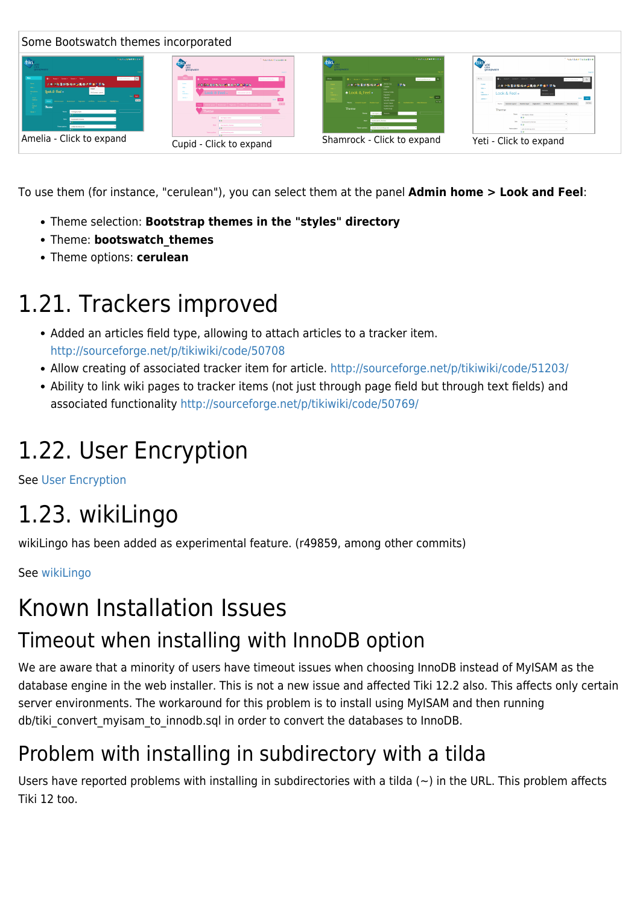| Some Bootswatch themes incorporated                                                                                                                                                                                                                                                                                                                                                                                |                                                                                                                                                                                                                                                |                                                                                                                                                                                                                                                                                                                                 |                                                                                                                                                                                                                                                                                            |
|--------------------------------------------------------------------------------------------------------------------------------------------------------------------------------------------------------------------------------------------------------------------------------------------------------------------------------------------------------------------------------------------------------------------|------------------------------------------------------------------------------------------------------------------------------------------------------------------------------------------------------------------------------------------------|---------------------------------------------------------------------------------------------------------------------------------------------------------------------------------------------------------------------------------------------------------------------------------------------------------------------------------|--------------------------------------------------------------------------------------------------------------------------------------------------------------------------------------------------------------------------------------------------------------------------------------------|
| <b><i>ANY REPAIRING</i></b><br>tiki.<br>المتعارب والمستردات ومتعناه<br>Interdependences.<br><b>State</b><br>2024年国际整理学区最终产量长久提高<br>Great Corp.<br>Took & Feet =<br>Til Compet - più inf<br><b>California</b><br><b>Basic</b><br>Genetiana Salarian Familia UD'en Colombian Nadaren<br>$\frac{1+\alpha-1}{1+\alpha}$ .<br><b>Theme</b><br>Darbgarystyles<br>consumb. Harry<br><b>Theme options</b><br>anda bostogue | <b>SAZARDEERS</b><br><b>SAFEKEE</b><br>worth preferences<br><b>Modern</b><br><b>OPRINDSHERO/DEDUC</b><br><b>The Contents John B</b><br>Antonio<br><b>AWY</b><br>posts<br><b>Thomas 1. I has been also</b><br><b>State Construction Process</b> | <b><i>SAZAZZZERRATH</i></b><br>groupware<br>On Arrest Concert Country Tarking<br>Search professions.<br><b>ROPEINSHOPE MANUSCRY</b><br>+ Look & Feel +<br><b>Direct Vita</b><br><b>MOOR</b><br><b>Com</b><br><b>Inden Coller</b><br><b>Theme</b><br>firem Leg.<br>base. Use topics to<br>There are no<br>share is knowledge and | <b>Novademension</b><br>Manu<br>a down fronty deaths boky.<br>care to references.<br><b>Louis</b><br>スロチなる国際情報は当社の大学協会図を<br><b>MAG</b><br>Look & Feel<br><b>File</b><br>Editorial<br>Theme<br>Una braser styles<br><b>MY Louisville Perry</b><br>a n<br><b>MON-SORA</b><br>yes-booking.org |
| Amelia - Click to expand                                                                                                                                                                                                                                                                                                                                                                                           | -<br>Cupid - Click to expand                                                                                                                                                                                                                   | Shamrock - Click to expand                                                                                                                                                                                                                                                                                                      | Yeti - Click to expand                                                                                                                                                                                                                                                                     |

To use them (for instance, "cerulean"), you can select them at the panel **Admin home > Look and Feel**:

- Theme selection: **Bootstrap themes in the "styles" directory**
- Theme: **bootswatch\_themes**
- Theme options: **cerulean**

## 1.21. Trackers improved

- Added an articles field type, allowing to attach articles to a tracker item. <http://sourceforge.net/p/tikiwiki/code/50708>
- Allow creating of associated tracker item for article. <http://sourceforge.net/p/tikiwiki/code/51203/>
- Ability to link wiki pages to tracker items (not just through page field but through text fields) and associated functionality<http://sourceforge.net/p/tikiwiki/code/50769/>

# 1.22. User Encryption

See [User Encryption](https://doc.tiki.org/User-Encryption)

## 1.23. wikiLingo

wikiLingo has been added as experimental feature. (r49859, among other commits)

See [wikiLingo](https://doc.tiki.org/wikiLingo)

### Known Installation Issues

#### Timeout when installing with InnoDB option

We are aware that a minority of users have timeout issues when choosing InnoDB instead of MyISAM as the database engine in the web installer. This is not a new issue and affected Tiki 12.2 also. This affects only certain server environments. The workaround for this problem is to install using MyISAM and then running db/tiki\_convert\_myisam\_to\_innodb.sql in order to convert the databases to InnoDB.

### Problem with installing in subdirectory with a tilda

Users have reported problems with installing in subdirectories with a tilda  $(\sim)$  in the URL. This problem affects Tiki 12 too.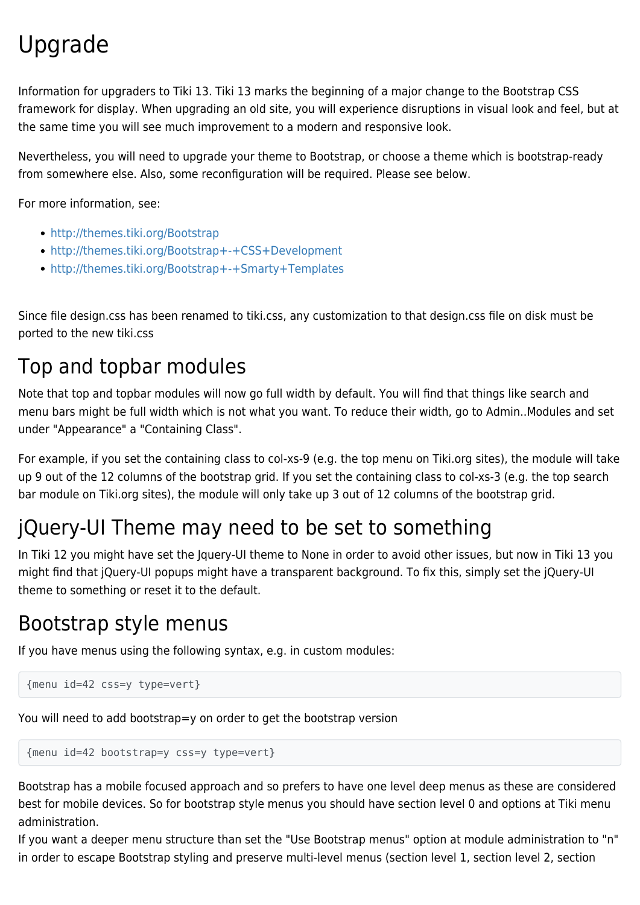# Upgrade

Information for upgraders to Tiki 13. Tiki 13 marks the beginning of a major change to the Bootstrap CSS framework for display. When upgrading an old site, you will experience disruptions in visual look and feel, but at the same time you will see much improvement to a modern and responsive look.

Nevertheless, you will need to upgrade your theme to Bootstrap, or choose a theme which is bootstrap-ready from somewhere else. Also, some reconfiguration will be required. Please see below.

For more information, see:

- <http://themes.tiki.org/Bootstrap>
- <http://themes.tiki.org/Bootstrap+-+CSS+Development>
- <http://themes.tiki.org/Bootstrap+-+Smarty+Templates>

Since file design.css has been renamed to tiki.css, any customization to that design.css file on disk must be ported to the new tiki.css

#### Top and topbar modules

Note that top and topbar modules will now go full width by default. You will find that things like search and menu bars might be full width which is not what you want. To reduce their width, go to Admin..Modules and set under "Appearance" a "Containing Class".

For example, if you set the containing class to col-xs-9 (e.g. the top menu on Tiki.org sites), the module will take up 9 out of the 12 columns of the bootstrap grid. If you set the containing class to col-xs-3 (e.g. the top search bar module on Tiki.org sites), the module will only take up 3 out of 12 columns of the bootstrap grid.

#### jQuery-UI Theme may need to be set to something

In Tiki 12 you might have set the Jquery-UI theme to None in order to avoid other issues, but now in Tiki 13 you might find that jQuery-UI popups might have a transparent background. To fix this, simply set the jQuery-UI theme to something or reset it to the default.

#### Bootstrap style menus

If you have menus using the following syntax, e.g. in custom modules:

{menu id=42 css=y type=vert}

You will need to add bootstrap=y on order to get the bootstrap version

```
{menu id=42 bootstrap=y css=y type=vert}
```
Bootstrap has a mobile focused approach and so prefers to have one level deep menus as these are considered best for mobile devices. So for bootstrap style menus you should have section level 0 and options at Tiki menu administration.

If you want a deeper menu structure than set the "Use Bootstrap menus" option at module administration to "n" in order to escape Bootstrap styling and preserve multi-level menus (section level 1, section level 2, section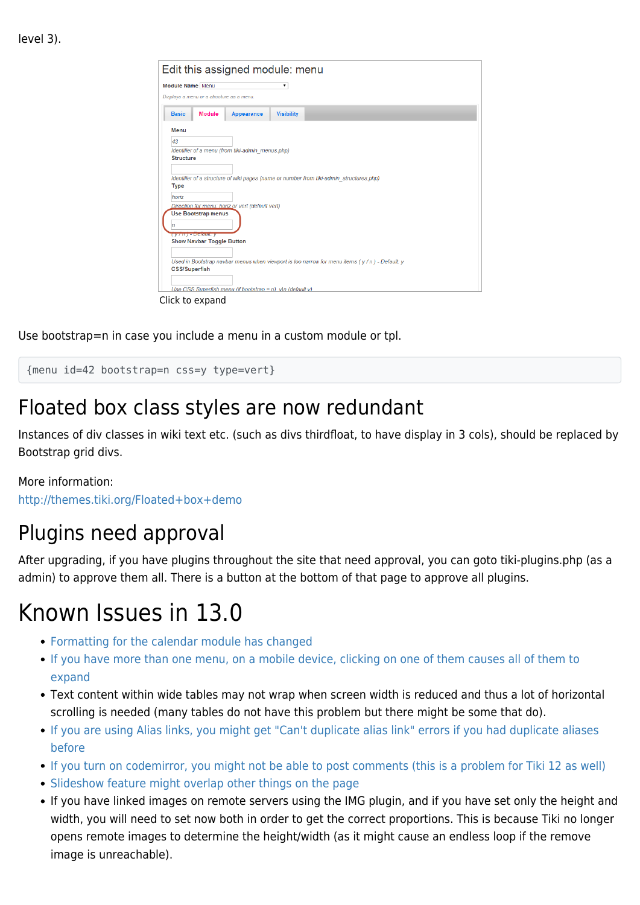level 3).

| Module Name Menu                                                                              |            |                                                                                                |  |
|-----------------------------------------------------------------------------------------------|------------|------------------------------------------------------------------------------------------------|--|
| Displays a menu or a structure as a menu.                                                     |            |                                                                                                |  |
| <b>Module</b><br><b>Basic</b>                                                                 | Appearance | <b>Visibility</b>                                                                              |  |
| Menu                                                                                          |            |                                                                                                |  |
| 43                                                                                            |            |                                                                                                |  |
| Identifier of a menu (from tiki-admin menus.php)                                              |            |                                                                                                |  |
| <b>Structure</b>                                                                              |            |                                                                                                |  |
|                                                                                               |            |                                                                                                |  |
|                                                                                               |            |                                                                                                |  |
|                                                                                               |            |                                                                                                |  |
|                                                                                               |            | Identifier of a structure of wiki pages (name or number from tiki-admin structures.php)        |  |
| horiz                                                                                         |            |                                                                                                |  |
|                                                                                               |            |                                                                                                |  |
| <b>Type</b><br>Direction for menu: horiz or vert (default vert)<br><b>Use Bootstrap menus</b> |            |                                                                                                |  |
|                                                                                               |            |                                                                                                |  |
| n                                                                                             |            |                                                                                                |  |
| (y/n) - Default, y                                                                            |            |                                                                                                |  |
| <b>Show Navbar Toggle Button</b>                                                              |            |                                                                                                |  |
|                                                                                               |            |                                                                                                |  |
|                                                                                               |            | Used in Bootstrap navbar menus when viewport is too narrow for menu items $(y/n)$ - Default: y |  |
| <b>CSS/Superfish</b>                                                                          |            |                                                                                                |  |

Use bootstrap=n in case you include a menu in a custom module or tpl.

{menu id=42 bootstrap=n css=y type=vert}

#### Floated box class styles are now redundant

Instances of div classes in wiki text etc. (such as divs thirdfloat, to have display in 3 cols), should be replaced by Bootstrap grid divs.

More information: <http://themes.tiki.org/Floated+box+demo>

#### Plugins need approval

After upgrading, if you have plugins throughout the site that need approval, you can goto tiki-plugins.php (as a admin) to approve them all. There is a button at the bottom of that page to approve all plugins.

#### Known Issues in 13.0

- [Formatting for the calendar module has changed](https://dev.tiki.org/item5287)
- [If you have more than one menu, on a mobile device, clicking on one of them causes all of them to](https://dev.tiki.org/item5293) [expand](https://dev.tiki.org/item5293)
- Text content within wide tables may not wrap when screen width is reduced and thus a lot of horizontal scrolling is needed (many tables do not have this problem but there might be some that do).
- [If you are using Alias links, you might get "Can't duplicate alias link" errors if you had duplicate aliases](https://dev.tiki.org/item5290) [before](https://dev.tiki.org/item5290)
- [If you turn on codemirror, you might not be able to post comments \(this is a problem for Tiki 12 as well\)](https://dev.tiki.org/item5294)
- [Slideshow feature might overlap other things on the page](https://dev.tiki.org/item5308)
- If you have linked images on remote servers using the IMG plugin, and if you have set only the height and width, you will need to set now both in order to get the correct proportions. This is because Tiki no longer opens remote images to determine the height/width (as it might cause an endless loop if the remove image is unreachable).